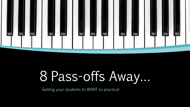

# 8 Pass-offs Away…

Getting your students to WANT to practice!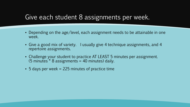#### Give each student 8 assignments per week.

- Depending on the age/level, each assignment needs to be attainable in one week.
- Give a good mix of variety. I usually give 4 technique assignments, and 4 repertoire assignments.
- Challenge your student to practice AT LEAST 5 minutes per assignment.  $(5 \text{ minutes}^* 8 \text{ assignments} = 40 \text{ minutes})$  daily.
- $\bullet$  5 days per week = 225 minutes of practice time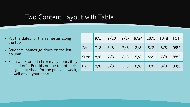### Two Content Layout with Table

- Put the dates for the semester along the top
- Students' names go down on the left column
- **Each week write in how many items they** passed off. Put this on the top of their assignment sheet for the previous week, as well as on your chart.

|       | 9/3 | 9/10 | 9/17 | 9/24 | 10/1 | 10/8        | TOT. |
|-------|-----|------|------|------|------|-------------|------|
| Sam   | 7/8 | 8/8  | 7/8  | 8/8  | 8/8  | 8/8         | 96%  |
| Suzie | 8/8 | 7/8  | 8/8  | 5/8  | Abs. | $\vert$ 7/8 | 88%  |
| Hal   | 8/8 | 6/8  | 5/8  | 8/8  | 8/8  | 8/8         | 90%  |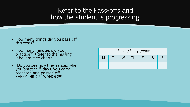## Refer to the Pass-offs and how the student is progressing

- How many things did you pass off this week?
- **How many minutes did you** practice? (Refer to the mailing label practice chart)
- "Do you see how they relate…when you practice 5 days, you came prepared and passed off EVERYTHING!! WAHOO!!!!"

| 45 min./5 days/week |  |  |    |  |  |  |  |  |  |  |  |
|---------------------|--|--|----|--|--|--|--|--|--|--|--|
| M                   |  |  | TH |  |  |  |  |  |  |  |  |
|                     |  |  |    |  |  |  |  |  |  |  |  |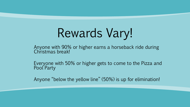Rewards Vary!

Anyone with 90% or higher earns a horseback ride during Christmas break!

Everyone with 50% or higher gets to come to the Pizza and Pool Party

Anyone "below the yellow line" (50%) is up for elimination!